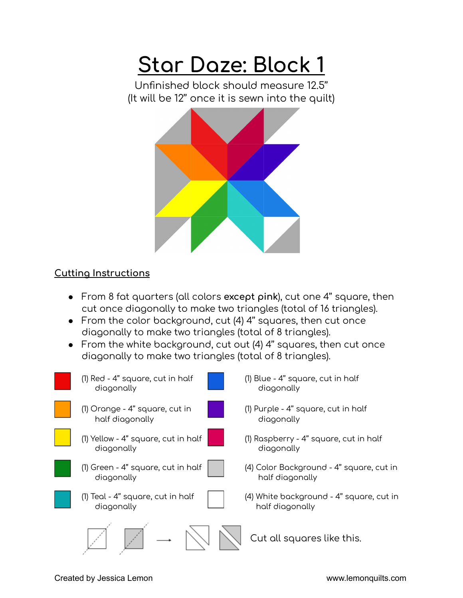## **Star Daze: Block 1**

Unfinished block should measure 12.5'' (It will be 12'' once it is sewn into the quilt)



## **Cutting Instructions**

- From 8 fat quarters (all colors **except pink**), cut one 4'' square, then cut once diagonally to make two triangles (total of 16 triangles).
- From the color background, cut (4) 4'' squares, then cut once diagonally to make two triangles (total of 8 triangles).
- $\bullet$  From the white background, cut out (4) 4" squares, then cut once diagonally to make two triangles (total of 8 triangles).

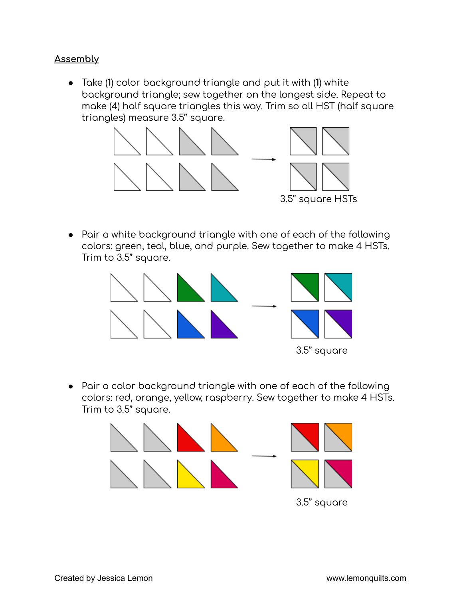## **Assembly**

● Take (**1**) color background triangle and put it with (**1**) white background triangle; sew together on the longest side. Repeat to make (**4**) half square triangles this way. Trim so all HST (half square triangles) measure 3.5'' square.



● Pair a white background triangle with one of each of the following colors: green, teal, blue, and purple. Sew together to make 4 HSTs. Trim to 3.5'' square.



● Pair a color background triangle with one of each of the following colors: red, orange, yellow, raspberry. Sew together to make 4 HSTs. Trim to 3.5'' square.